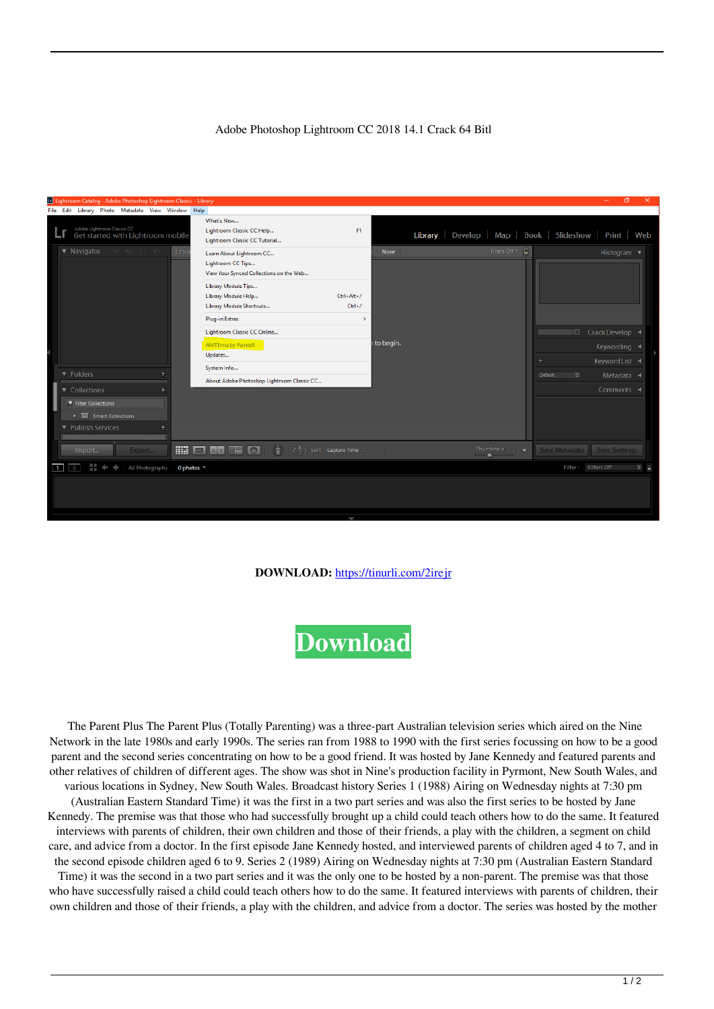## Adobe Photoshop Lightroom CC 2018 14.1 Crack 64 Bitl

|                                                                        |  |                                                        |  | Lightroom Catalog - Adobe Photoshop Lightroom Classic - Library |   |      |  |                                                                                                                                                                                                                                          |                                         |                         |                            |                                                           |                          |                               |                                |  |  |
|------------------------------------------------------------------------|--|--------------------------------------------------------|--|-----------------------------------------------------------------|---|------|--|------------------------------------------------------------------------------------------------------------------------------------------------------------------------------------------------------------------------------------------|-----------------------------------------|-------------------------|----------------------------|-----------------------------------------------------------|--------------------------|-------------------------------|--------------------------------|--|--|
|                                                                        |  |                                                        |  | File Edit Library Photo Metadata View Window Help               |   |      |  |                                                                                                                                                                                                                                          |                                         |                         |                            |                                                           |                          |                               |                                |  |  |
|                                                                        |  |                                                        |  | Adobe Lightroom Classic CC<br>Get started with Lightroom mobile |   |      |  | What's New<br>Lightroom Classic CC Help<br>Lightroom Classic CC Tutorial                                                                                                                                                                 |                                         | F1                      |                            | Develop   Map   Book   Slideshow   Print   Web<br>Library |                          |                               |                                |  |  |
|                                                                        |  | $\nabla$ Navigator<br>FIT FILL 1:1 3:1                 |  |                                                                 |   | Libn |  | Learn About Lightroom CC<br>Lightroom CC Tips<br>View Your Synced Collections on the Web<br>Library Module Tips<br>Library Module Help<br>Library Module Shortcuts<br>Plug-in Extras<br>Lightroom Classic CC Online<br>AMTEmu by PainteR |                                         | Ctrl+Alt+/<br>$Ctrl+ /$ | <b>None</b><br>i to begin. | Filters Off $\phi$ $\cap$                                 |                          | Ie I                          | Histogram ▼<br>Quick Develop 4 |  |  |
|                                                                        |  |                                                        |  |                                                                 |   |      |  | Updates                                                                                                                                                                                                                                  |                                         |                         |                            |                                                           |                          | ٠                             | Keywording <<br>Keyword List   |  |  |
|                                                                        |  | ▼ Folders                                              |  |                                                                 | 면 |      |  | System Info                                                                                                                                                                                                                              |                                         |                         |                            |                                                           |                          | $\vert \tau \vert$<br>Default | Metadata $\triangleleft$       |  |  |
|                                                                        |  | Collections                                            |  |                                                                 |   | ÷.   |  | About Adobe Photoshop Lightroom Classic CC                                                                                                                                                                                               |                                         |                         |                            |                                                           |                          |                               | Comments <                     |  |  |
|                                                                        |  | <b>•</b> Filter Collections                            |  |                                                                 |   |      |  |                                                                                                                                                                                                                                          |                                         |                         |                            |                                                           |                          |                               |                                |  |  |
|                                                                        |  | $\blacktriangleright$ $\blacksquare$ Smart Collections |  |                                                                 |   |      |  |                                                                                                                                                                                                                                          |                                         |                         |                            |                                                           |                          |                               |                                |  |  |
|                                                                        |  | Publish Services                                       |  |                                                                 |   |      |  |                                                                                                                                                                                                                                          |                                         |                         |                            |                                                           |                          |                               |                                |  |  |
|                                                                        |  | Import                                                 |  | Export                                                          |   |      |  | HIO XY BE GI<br>÷.                                                                                                                                                                                                                       | $\binom{n}{2}$ Sort: Capture Time $\pm$ |                         |                            | Thumbnails<br><b>All College</b>                          | $\overline{\phantom{0}}$ | Sync Metadata                 | Sync Settings                  |  |  |
| $\overline{1}$<br>H<br>All Photographs<br>0 photos $-$<br>Filter:<br>2 |  |                                                        |  |                                                                 |   |      |  |                                                                                                                                                                                                                                          |                                         |                         |                            |                                                           |                          | <b>Filters Off</b>            | $\Rightarrow$                  |  |  |
|                                                                        |  |                                                        |  |                                                                 |   |      |  |                                                                                                                                                                                                                                          |                                         | 1                       |                            |                                                           |                          |                               |                                |  |  |

## **DOWNLOAD:** <https://tinurli.com/2irejr>



 The Parent Plus The Parent Plus (Totally Parenting) was a three-part Australian television series which aired on the Nine Network in the late 1980s and early 1990s. The series ran from 1988 to 1990 with the first series focussing on how to be a good parent and the second series concentrating on how to be a good friend. It was hosted by Jane Kennedy and featured parents and other relatives of children of different ages. The show was shot in Nine's production facility in Pyrmont, New South Wales, and various locations in Sydney, New South Wales. Broadcast history Series 1 (1988) Airing on Wednesday nights at 7:30 pm (Australian Eastern Standard Time) it was the first in a two part series and was also the first series to be hosted by Jane Kennedy. The premise was that those who had successfully brought up a child could teach others how to do the same. It featured interviews with parents of children, their own children and those of their friends, a play with the children, a segment on child care, and advice from a doctor. In the first episode Jane Kennedy hosted, and interviewed parents of children aged 4 to 7, and in the second episode children aged 6 to 9. Series 2 (1989) Airing on Wednesday nights at 7:30 pm (Australian Eastern Standard Time) it was the second in a two part series and it was the only one to be hosted by a non-parent. The premise was that those who have successfully raised a child could teach others how to do the same. It featured interviews with parents of children, their own children and those of their friends, a play with the children, and advice from a doctor. The series was hosted by the mother